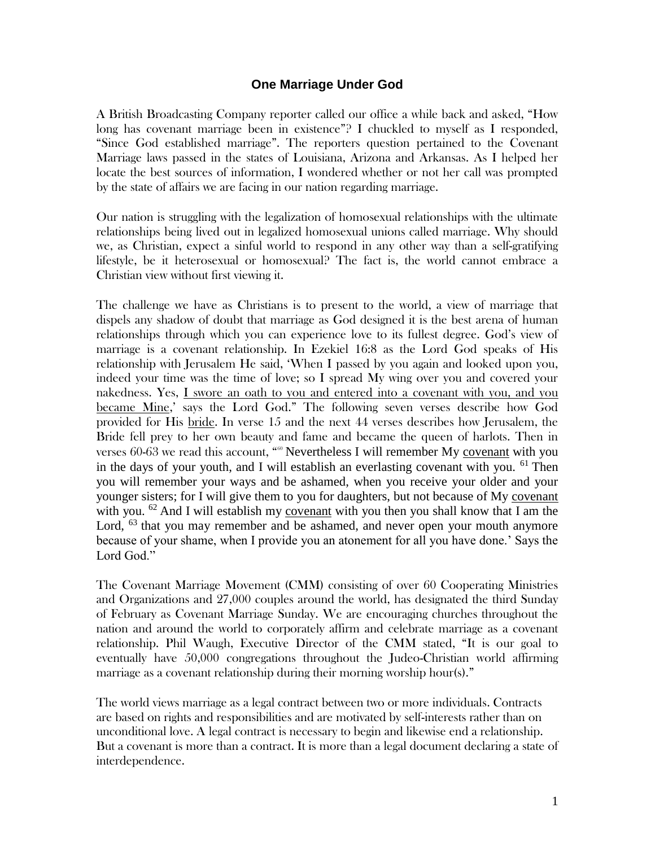## **One Marriage Under God**

A British Broadcasting Company reporter called our office a while back and asked, "How long has covenant marriage been in existence"? I chuckled to myself as I responded, "Since God established marriage". The reporters question pertained to the Covenant Marriage laws passed in the states of Louisiana, Arizona and Arkansas. As I helped her locate the best sources of information, I wondered whether or not her call was prompted by the state of affairs we are facing in our nation regarding marriage.

Our nation is struggling with the legalization of homosexual relationships with the ultimate relationships being lived out in legalized homosexual unions called marriage. Why should we, as Christian, expect a sinful world to respond in any other way than a self-gratifying lifestyle, be it heterosexual or homosexual? The fact is, the world cannot embrace a Christian view without first viewing it.

The challenge we have as Christians is to present to the world, a view of marriage that dispels any shadow of doubt that marriage as God designed it is the best arena of human relationships through which you can experience love to its fullest degree. God's view of marriage is a covenant relationship. In Ezekiel 16:8 as the Lord God speaks of His relationship with Jerusalem He said, 'When I passed by you again and looked upon you, indeed your time was the time of love; so I spread My wing over you and covered your nakedness. Yes, I swore an oath to you and entered into a covenant with you, and you became Mine,' says the Lord God." The following seven verses describe how God provided for His bride. In verse 15 and the next 44 verses describes how Jerusalem, the Bride fell prey to her own beauty and fame and became the queen of harlots. Then in verses  $60-63$  we read this account, " $60$  Nevertheless I will remember My covenant with you in the days of your youth, and I will establish an everlasting covenant with you.  $61$  Then you will remember your ways and be ashamed, when you receive your older and your younger sisters; for I will give them to you for daughters, but not because of My covenant with you.  $62$  And I will establish my covenant with you then you shall know that I am the Lord,  $^{63}$  that you may remember and be ashamed, and never open your mouth anymore because of your shame, when I provide you an atonement for all you have done.' Says the Lord God."

The Covenant Marriage Movement (CMM) consisting of over 60 Cooperating Ministries and Organizations and 27,000 couples around the world, has designated the third Sunday of February as Covenant Marriage Sunday. We are encouraging churches throughout the nation and around the world to corporately affirm and celebrate marriage as a covenant relationship. Phil Waugh, Executive Director of the CMM stated, "It is our goal to eventually have 50,000 congregations throughout the Judeo-Christian world affirming marriage as a covenant relationship during their morning worship hour(s)."

The world views marriage as a legal contract between two or more individuals. Contracts are based on rights and responsibilities and are motivated by self-interests rather than on unconditional love. A legal contract is necessary to begin and likewise end a relationship. But a covenant is more than a contract. It is more than a legal document declaring a state of interdependence.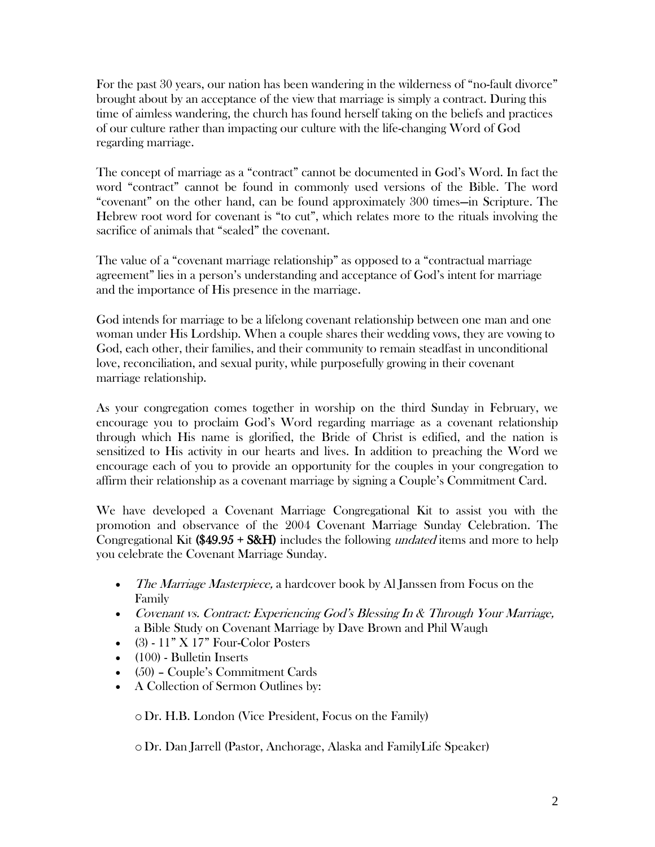For the past 30 years, our nation has been wandering in the wilderness of "no-fault divorce" brought about by an acceptance of the view that marriage is simply a contract. During this time of aimless wandering, the church has found herself taking on the beliefs and practices of our culture rather than impacting our culture with the life-changing Word of God regarding marriage.

The concept of marriage as a "contract" cannot be documented in God's Word. In fact the word "contract" cannot be found in commonly used versions of the Bible. The word "covenant" on the other hand, can be found approximately 300 times—in Scripture. The Hebrew root word for covenant is "to cut", which relates more to the rituals involving the sacrifice of animals that "sealed" the covenant.

The value of a "covenant marriage relationship" as opposed to a "contractual marriage agreement" lies in a person's understanding and acceptance of God's intent for marriage and the importance of His presence in the marriage.

God intends for marriage to be a lifelong covenant relationship between one man and one woman under His Lordship. When a couple shares their wedding vows, they are vowing to God, each other, their families, and their community to remain steadfast in unconditional love, reconciliation, and sexual purity, while purposefully growing in their covenant marriage relationship.

As your congregation comes together in worship on the third Sunday in February, we encourage you to proclaim God's Word regarding marriage as a covenant relationship through which His name is glorified, the Bride of Christ is edified, and the nation is sensitized to His activity in our hearts and lives. In addition to preaching the Word we encourage each of you to provide an opportunity for the couples in your congregation to affirm their relationship as a covenant marriage by signing a Couple's Commitment Card.

We have developed a Covenant Marriage Congregational Kit to assist you with the promotion and observance of the 2004 Covenant Marriage Sunday Celebration. The Congregational Kit (\$49.95 + S&H) includes the following *undated* items and more to help you celebrate the Covenant Marriage Sunday.

- The Marriage Masterpiece, a hardcover book by Al Janssen from Focus on the Family
- Covenant vs. Contract: Experiencing God's Blessing In & Through Your Marriage, a Bible Study on Covenant Marriage by Dave Brown and Phil Waugh
- $\bullet$  (3) 11" X 17" Four-Color Posters
- $\bullet$  (100) Bulletin Inserts
- (50) Couple's Commitment Cards
- A Collection of Sermon Outlines by:

oDr. H.B. London (Vice President, Focus on the Family)

oDr. Dan Jarrell (Pastor, Anchorage, Alaska and FamilyLife Speaker)